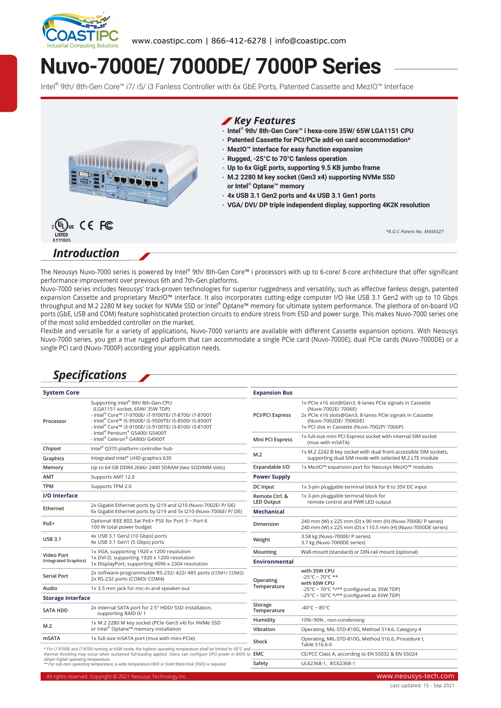

# **Nuvo-7000E/ 7000DE/ 7000P Series**

Intel® 9th/ 8th-Gen Core™ i7/ i5/ i3 Fanless Controller with 6x GbE Ports, Patented Cassette and MezIO™ Interface



# *Introduction*

The Neousys Nuvo-7000 series is powered by Intel® 9th/ 8th-Gen Core™ i processors with up to 6-core/ 8-core architecture that offer significant performance improvement over previous 6th and 7th-Gen platforms.

Nuvo-7000 series includes Neousys' track-proven technologies for superior ruggedness and versatility, such as effective fanless design, patented expansion Cassette and proprietary MezIO™ interface. It also incorporates cutting-edge computer I/O like USB 3.1 Gen2 with up to 10 Gbps throughput and M.2 2280 M key socket for NVMe SSD or Intel® Optane™ memory for ultimate system performance. The plethora of on-board I/O ports (GbE, USB and COM) feature sophisticated protection circuits to endure stress from ESD and power surge. This makes Nuvo-7000 series one of the most solid embedded controller on the market.

Flexible and versatile for a variety of applications, Nuvo-7000 variants are available with different Cassette expansion options. With Neousys Nuvo-7000 series, you get a true rugged platform that can accommodate a single PCIe card (Nuvo-7000E), dual PCIe cards (Nuvo-7000DE) or a single PCI card (Nuvo-7000P) according your application needs.

# *Specifications*

| <b>System Core</b>                                                                                                                                                                                                                                                                                                                                                                                                                               |                                                                                                                                                                                                                                                                                   | <b>Expansion Bus</b>                |                                                                                                                                                                                                                    |  |
|--------------------------------------------------------------------------------------------------------------------------------------------------------------------------------------------------------------------------------------------------------------------------------------------------------------------------------------------------------------------------------------------------------------------------------------------------|-----------------------------------------------------------------------------------------------------------------------------------------------------------------------------------------------------------------------------------------------------------------------------------|-------------------------------------|--------------------------------------------------------------------------------------------------------------------------------------------------------------------------------------------------------------------|--|
| Processor                                                                                                                                                                                                                                                                                                                                                                                                                                        | Supporting Intel® 9th/8th-Gen CPU<br>(LGA1151 socket, 65W/ 35W TDP)<br>- Intel® Core™ i7-9700E/ i7-9700TE/ i7-8700/ i7-8700T<br>- Intel® Core™ i5-9500E/ i5-9500TE/ i5-8500/ i5-8500T<br>- Intel® Core™ i3-9100E/ i3-9100TE/ i3-8100/ i3-8100T<br>- Intel® Pentium® G5400/ G5400T | <b>PCI/PCI Express</b>              | 1x PCIe x16 slot@Gen3, 8-lanes PCIe signals in Cassette<br>(Nuvo-7002E/ 7006E)<br>2x PCIe x16 slots@Gen3, 8-lanes PCIe signals in Cassette<br>(Nuvo-7002DE/ 7006DE)<br>1x PCI slot in Cassette (Nuvo-7002P/ 7006P) |  |
|                                                                                                                                                                                                                                                                                                                                                                                                                                                  | - Intel® Celeron® G4900/ G4900T                                                                                                                                                                                                                                                   | Mini PCI Express                    | 1x full-size mini PCI Express socket with internal SIM socket<br>(mux with mSATA)                                                                                                                                  |  |
| Chipset                                                                                                                                                                                                                                                                                                                                                                                                                                          | Intel® Q370 platform controller hub                                                                                                                                                                                                                                               |                                     | 1x M.2 2242 B key socket with dual front-accessible SIM sockets,<br>supporting dual SIM mode with selected M.2 LTE module                                                                                          |  |
| Graphics                                                                                                                                                                                                                                                                                                                                                                                                                                         | Integrated Intel® UHD graphics 630                                                                                                                                                                                                                                                | M.2                                 |                                                                                                                                                                                                                    |  |
| Memory                                                                                                                                                                                                                                                                                                                                                                                                                                           | Up to 64 GB DDR4 2666/2400 SDRAM (two SODIMM slots)                                                                                                                                                                                                                               | Expandable I/O                      | 1x MezIO <sup>™</sup> expansion port for Neousys MezIO™ modules                                                                                                                                                    |  |
| AMT                                                                                                                                                                                                                                                                                                                                                                                                                                              | Supports AMT 12.0                                                                                                                                                                                                                                                                 | <b>Power Supply</b>                 |                                                                                                                                                                                                                    |  |
| <b>TPM</b>                                                                                                                                                                                                                                                                                                                                                                                                                                       | Supports TPM 2.0                                                                                                                                                                                                                                                                  | <b>DC</b> Input                     | 1x 3-pin pluggable terminal block for 8 to 35V DC input                                                                                                                                                            |  |
| <b>I/O</b> Interface                                                                                                                                                                                                                                                                                                                                                                                                                             |                                                                                                                                                                                                                                                                                   | Remote Ctrl. &<br><b>LED Output</b> | 1x 3-pin pluggable terminal block for<br>remote control and PWR LED output                                                                                                                                         |  |
| Ethernet                                                                                                                                                                                                                                                                                                                                                                                                                                         | 2x Gigabit Ethernet ports by I219 and I210 (Nuvo-7002E/ P/ DE)<br>6x Gigabit Ethernet ports by I219 and 5x I210 (Nuvo-7006E/ P/ DE)                                                                                                                                               | <b>Mechanical</b>                   |                                                                                                                                                                                                                    |  |
| PoE+                                                                                                                                                                                                                                                                                                                                                                                                                                             | Optional IEEE 802.3at PoE+ PSE for Port 3 ~ Port 6<br>100 W total power budget                                                                                                                                                                                                    | Dimension                           | 240 mm (W) x 225 mm (D) x 90 mm (H) (Nuvo-7000E/ P series)<br>240 mm (W) x 225 mm (D) x 110.5 mm (H) (Nuvo-7000DE series)                                                                                          |  |
| <b>USB 3.1</b>                                                                                                                                                                                                                                                                                                                                                                                                                                   | 4x USB 3.1 Gen2 (10 Gbps) ports<br>4x USB 3.1 Gen1 (5 Gbps) ports                                                                                                                                                                                                                 | Weight                              | 3.58 kg (Nuvo-7000E/ P series)<br>3.7 kg (Nuvo-7000DE series)                                                                                                                                                      |  |
| Video Port                                                                                                                                                                                                                                                                                                                                                                                                                                       | 1x VGA, supporting 1920 x 1200 resolution<br>1x DVI-D, supporting 1920 x 1200 resolution<br>1x DisplayPort, supporting 4096 x 2304 resolution                                                                                                                                     | Mounting                            | Wall-mount (standard) or DIN-rail mount (optional)                                                                                                                                                                 |  |
| (Integrated Graphics)                                                                                                                                                                                                                                                                                                                                                                                                                            |                                                                                                                                                                                                                                                                                   | Environmental                       |                                                                                                                                                                                                                    |  |
| <b>Serial Port</b>                                                                                                                                                                                                                                                                                                                                                                                                                               | 2x software-programmable RS-232/ 422/ 485 ports (COM1/ COM2)<br>2x RS-232 ports (COM3/ COM4)                                                                                                                                                                                      | Operating                           | with 35W CPU<br>$-25^{\circ}$ C ~ 70°C **<br>with 65W CPU<br>-25°C ~ 70°C */** (configured as 35W TDP)                                                                                                             |  |
| Audio                                                                                                                                                                                                                                                                                                                                                                                                                                            | 1x 3.5 mm jack for mic-in and speaker-out                                                                                                                                                                                                                                         | Temperature                         |                                                                                                                                                                                                                    |  |
| <b>Storage Interface</b>                                                                                                                                                                                                                                                                                                                                                                                                                         |                                                                                                                                                                                                                                                                                   |                                     | -25°C ~ 50°C */** (configured as 65W TDP)                                                                                                                                                                          |  |
| <b>SATA HDD</b>                                                                                                                                                                                                                                                                                                                                                                                                                                  | 2x internal SATA port for 2.5" HDD/ SSD installation,<br>supporting RAID 0/1                                                                                                                                                                                                      | Storage<br>Temperature              | -40°C ~ 85°C                                                                                                                                                                                                       |  |
|                                                                                                                                                                                                                                                                                                                                                                                                                                                  | 1x M.2 2280 M key socket (PCIe Gen3 x4) for NVMe SSD<br>or Intel® Optane™ memory installation                                                                                                                                                                                     | Humidity                            | 10%~90%, non-condensing                                                                                                                                                                                            |  |
| M.2                                                                                                                                                                                                                                                                                                                                                                                                                                              |                                                                                                                                                                                                                                                                                   | Vibration                           | Operating, MIL-STD-810G, Method 514.6, Category 4                                                                                                                                                                  |  |
| <b>mSATA</b><br>1x full-size mSATA port (mux with mini-PCle)<br>* For i7-9700E and i7-8700 running at 65W mode, the highest operating temperature shall be limited to 50°C and<br>thermal throttling may occur when sustained full-loading applied. Users can configure CPU power in BIOS to EMC<br>obtain higher operating temperature.<br>** For sub-zero operating temperature, a wide temperature HDD or Solid State Disk (SSD) is required. |                                                                                                                                                                                                                                                                                   | Shock                               | Operating, MIL-STD-810G, Method 516.6, Procedure I,<br>Table 516.6-II                                                                                                                                              |  |
|                                                                                                                                                                                                                                                                                                                                                                                                                                                  |                                                                                                                                                                                                                                                                                   |                                     | CE/FCC Class A, according to EN 55032 & EN 55024                                                                                                                                                                   |  |
|                                                                                                                                                                                                                                                                                                                                                                                                                                                  |                                                                                                                                                                                                                                                                                   | Safety                              | UL62368-1, IEC62368-1                                                                                                                                                                                              |  |
|                                                                                                                                                                                                                                                                                                                                                                                                                                                  |                                                                                                                                                                                                                                                                                   |                                     |                                                                                                                                                                                                                    |  |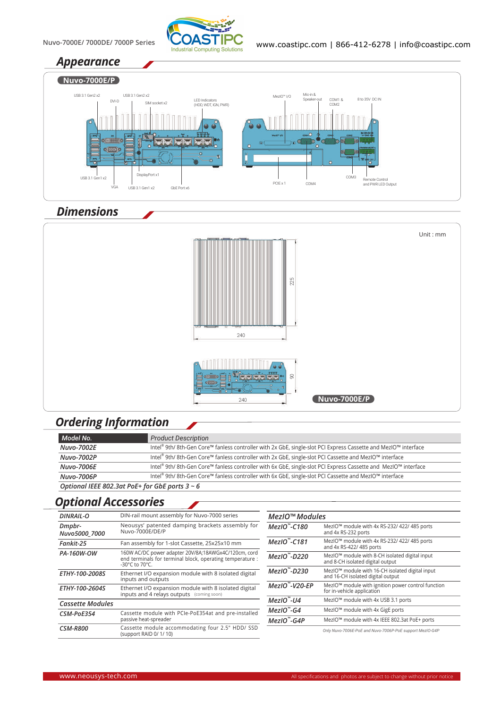

#### *Appearance*



# *Dimensions*



# *Ordering Information*

| Model No.                                           | <b>Product Description</b>                                                                                     |  |
|-----------------------------------------------------|----------------------------------------------------------------------------------------------------------------|--|
| <b>Nuvo-7002E</b>                                   | Intel® 9th/8th-Gen Core™ fanless controller with 2x GbE, single-slot PCI Express Cassette and MezIO™ interface |  |
| Nuvo-7002P                                          | Intel® 9th/8th-Gen Core™ fanless controller with 2x GbE, single-slot PCI Cassette and MezIO™ interface         |  |
| <b>Nuvo-7006E</b>                                   | Intel® 9th/8th-Gen Core™ fanless controller with 6x GbE, single-slot PCI Express Cassette and MezIO™ interface |  |
| Nuvo-7006P                                          | Intel® 9th/8th-Gen Core™ fanless controller with 6x GbE, single-slot PCI Cassette and MezIO™ interface         |  |
| Optional IEEE 802.3at PoE+ for GbE ports $3 \sim 6$ |                                                                                                                |  |

#### *Optional Accessories*

| <b>DINRAIL-O</b>        | DIN-rail mount assembly for Nuvo-7000 series                                                                                        | MezIO™ Modules          |                                                                                                  |
|-------------------------|-------------------------------------------------------------------------------------------------------------------------------------|-------------------------|--------------------------------------------------------------------------------------------------|
| Dmpbr-<br>Nuvo5000 7000 | Neousys' patented damping brackets assembly for<br>Nuvo-7000E/DE/P                                                                  | $MezIO$ -C180           | MezIO™ module with 4x RS-232/ 422/ 485 ports<br>and 4x RS-232 ports                              |
| Fankit-25               | Fan assembly for 1-slot Cassette, 25x25x10 mm                                                                                       | $MezIO$ -C181           | MezIO™ module with 4x RS-232/ 422/ 485 ports<br>and 4x RS-422/ 485 ports                         |
| PA-160W-OW              | 160W AC/DC power adapter 20V/8A;18AWGx4C/120cm, cord<br>end terminals for terminal block, operating temperature :<br>-30°C to 70°C. | MezIO"-D220             | MezIO™ module with 8-CH isolated digital input<br>and 8-CH isolated digital output               |
| ETHY-100-2008S          | Ethernet I/O expansion module with 8 isolated digital<br>inputs and outputs                                                         | $MezIO$ "-D230          | MezIO <sup>™</sup> module with 16-CH isolated digital input<br>and 16-CH isolated digital output |
| ETHY-100-2604S          | Ethernet I/O expansion module with 8 isolated digital<br>inputs and 4 relays outputs (coming soon)                                  | $MezIO$ -V20-EP         | MezIO™ module with ignition power control function<br>for in-vehicle application                 |
| <b>Cassette Modules</b> |                                                                                                                                     | $MezIO$ <sup>"-U4</sup> | MezIO <sup>™</sup> module with 4x USB 3.1 ports                                                  |
| CSM-PoE354              | Cassette module with PCIe-PoE354at and pre-installed<br>passive heat-spreader                                                       | $MezIO$ - $G4$          | MezIO <sup>™</sup> module with 4x GigE ports                                                     |
|                         |                                                                                                                                     | $MezIO$ -G4P            | MezIO™ module with 4x IEEE 802.3at PoE+ ports                                                    |
| <b>CSM-R800</b>         | Cassette module accommodating four 2.5" HDD/ SSD<br>(support RAID 0/1/10)                                                           |                         | Only Nuvo-7006E-PoE and Nuvo-7006P-PoE support MezIO-G4P                                         |